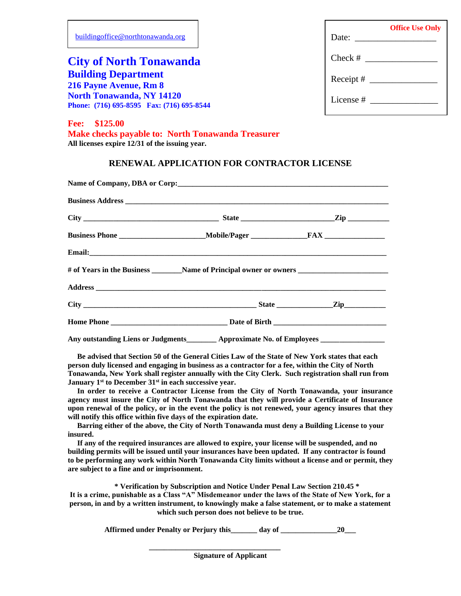| buildingoffice@northtonawanda.org                                                                                                     | <b>Office Use Only</b><br>Date: $\frac{1}{\sqrt{1-\frac{1}{2}} \cdot \frac{1}{2}}$ |
|---------------------------------------------------------------------------------------------------------------------------------------|------------------------------------------------------------------------------------|
| <b>City of North Tonawanda</b>                                                                                                        | $Check \#$                                                                         |
| <b>Building Department</b><br>216 Payne Avenue, Rm 8<br><b>North Tonawanda, NY 14120</b><br>Phone: (716) 695-8595 Fax: (716) 695-8544 | License $#$                                                                        |
| \$125.00<br><b>Fee:</b><br>Make checks payable to: North Tonawanda Treasurer<br>All licenses expire 12/31 of the issuing year.        |                                                                                    |

## **RENEWAL APPLICATION FOR CONTRACTOR LICENSE**

| Any outstanding Liens or Judgments <b>Example 2</b> Approximate No. of Employees |  |  |  |
|----------------------------------------------------------------------------------|--|--|--|

 **Be advised that Section 50 of the General Cities Law of the State of New York states that each person duly licensed and engaging in business as a contractor for a fee, within the City of North Tonawanda, New York shall register annually with the City Clerk. Such registration shall run from January 1st to December 31st in each successive year.**

 **In order to receive a Contractor License from the City of North Tonawanda, your insurance agency must insure the City of North Tonawanda that they will provide a Certificate of Insurance upon renewal of the policy, or in the event the policy is not renewed, your agency insures that they will notify this office within five days of the expiration date.**

 **Barring either of the above, the City of North Tonawanda must deny a Building License to your insured.** 

 **If any of the required insurances are allowed to expire, your license will be suspended, and no building permits will be issued until your insurances have been updated. If any contractor is found to be performing any work within North Tonawanda City limits without a license and or permit, they are subject to a fine and or imprisonment.**

**\* Verification by Subscription and Notice Under Penal Law Section 210.45 \* It is a crime, punishable as a Class "A" Misdemeanor under the laws of the State of New York, for a person, in and by a written instrument, to knowingly make a false statement, or to make a statement which such person does not believe to be true.**

**Affirmed under Penalty or Perjury this\_\_\_\_\_\_\_ day of \_\_\_\_\_\_\_\_\_\_\_\_\_\_\_20\_\_\_**

**\_\_\_\_\_\_\_\_\_\_\_\_\_\_\_\_\_\_\_\_\_\_\_\_\_\_\_\_\_\_\_\_\_\_\_**